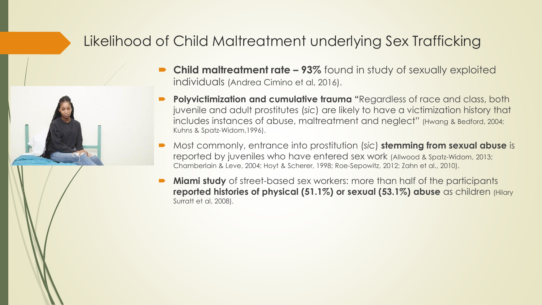#### Likelihood of Child Maltreatment underlying Sex Trafficking



- **Child maltreatment rate – 93%** found in study of sexually exploited individuals (Andrea Cimino et al, 2016).
- **Polyvictimization and cumulative trauma "**Regardless of race and class, both juvenile and adult prostitutes (*sic*) are likely to have a victimization history that includes instances of abuse, maltreatment and neglect" (Hwang & Bedford, 2004; Kuhns & Spatz-Widom,1996).
- Most commonly, entrance into prostitution (*sic*) **stemming from sexual abuse** is reported by juveniles who have entered sex work (Allwood & Spatz-Widom, 2013; Chamberlain & Leve, 2004; Hoyt & Scherer, 1998; Roe-Sepowitz, 2012; Zahn et al., 2010).
- **Miami study** of street-based sex workers: more than half of the participants **reported histories of physical (51.1%) or sexual (53.1%) abuse** as children (Hilary Surratt et al, 2008).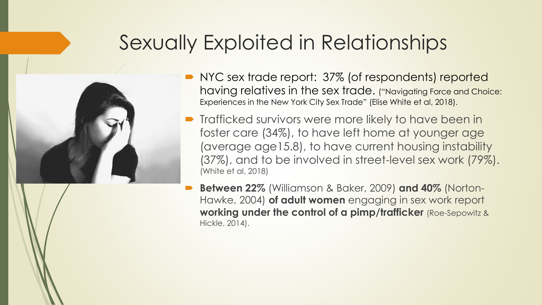### Sexually Exploited in Relationships



- NYC sex trade report: 37% (of respondents) reported having relatives in the sex trade. ("Navigating Force and Choice: Experiences in the New York City Sex Trade" (Elise White et al, 2018).
- **Trafficked survivors were more likely to have been in** foster care (34%), to have left home at younger age (average age15.8), to have current housing instability (37%), and to be involved in street-level sex work (79%). (White et al, 2018)
	- **Between 22%** (Williamson & Baker, 2009) **and 40%** (Norton-Hawke, 2004) **of adult women** engaging in sex work report **working under the control of a pimp/trafficker** (Roe-Sepowitz & Hickle, 2014).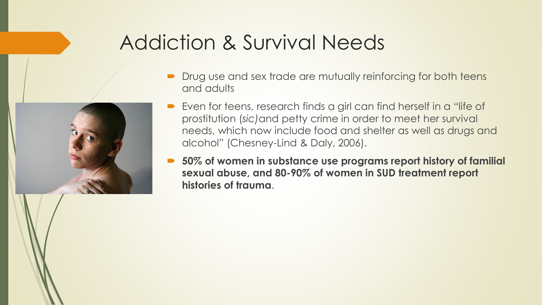## Addiction & Survival Needs

- Drug use and sex trade are mutually reinforcing for both teens and adults
- Even for teens, research finds a girl can find herself in a "life of prostitution (*sic)*and petty crime in order to meet her survival needs, which now include food and shelter as well as drugs and alcohol" (Chesney-Lind & Daly, 2006).
- **50% of women in substance use programs report history of familial sexual abuse, and 80-90% of women in SUD treatment report histories of trauma**.